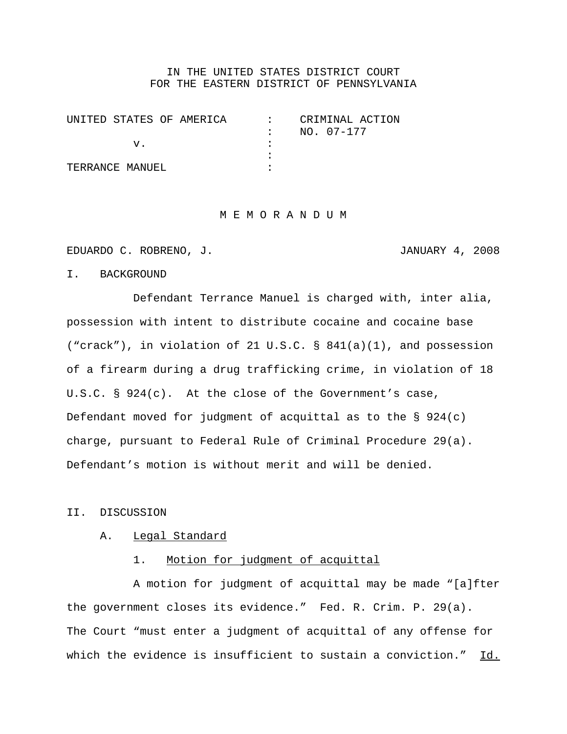# IN THE UNITED STATES DISTRICT COURT FOR THE EASTERN DISTRICT OF PENNSYLVANIA

| INITED STATES OF AMERICA | CRIMINAL ACTION |
|--------------------------|-----------------|
|                          | NO. 07-177      |
|                          |                 |
|                          |                 |
| TERRANCE MANUEL          |                 |

#### M E M O R A N D U M

EDUARDO C. ROBRENO, J. JANUARY 4, 2008

# I. BACKGROUND

Defendant Terrance Manuel is charged with, inter alia, possession with intent to distribute cocaine and cocaine base ("crack"), in violation of 21 U.S.C. § 841(a)(1), and possession of a firearm during a drug trafficking crime, in violation of 18 U.S.C. § 924(c). At the close of the Government's case, Defendant moved for judgment of acquittal as to the  $\S$  924(c) charge, pursuant to Federal Rule of Criminal Procedure 29(a). Defendant's motion is without merit and will be denied.

### II. DISCUSSION

### A. Legal Standard

### 1. Motion for judgment of acquittal

A motion for judgment of acquittal may be made "[a]fter the government closes its evidence." Fed. R. Crim. P. 29(a). The Court "must enter a judgment of acquittal of any offense for which the evidence is insufficient to sustain a conviction." Id.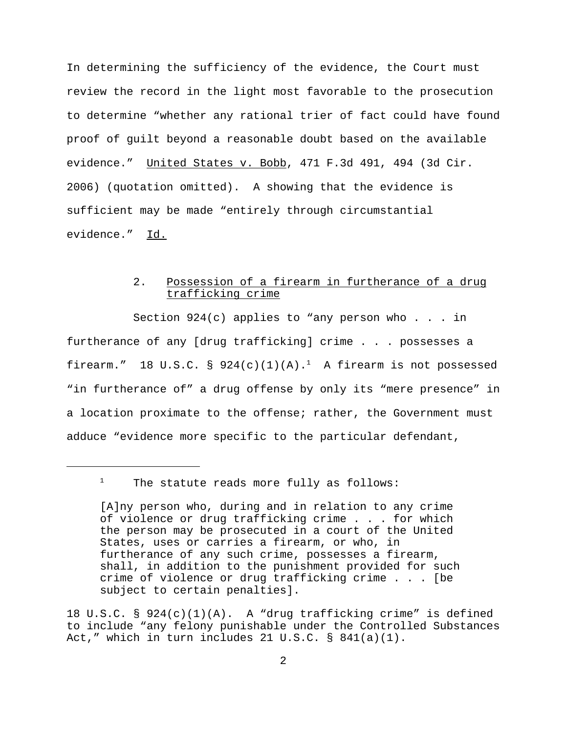In determining the sufficiency of the evidence, the Court must review the record in the light most favorable to the prosecution to determine "whether any rational trier of fact could have found proof of guilt beyond a reasonable doubt based on the available evidence." United States v. Bobb, 471 F.3d 491, 494 (3d Cir. 2006) (quotation omitted). A showing that the evidence is sufficient may be made "entirely through circumstantial evidence." Id.

# 2. Possession of a firearm in furtherance of a drug trafficking crime

Section  $924(c)$  applies to "any person who . . . in furtherance of any [drug trafficking] crime . . . possesses a firearm." 18 U.S.C. §  $924(c)(1)(A).$ <sup>1</sup> A firearm is not possessed "in furtherance of" a drug offense by only its "mere presence" in a location proximate to the offense; rather, the Government must adduce "evidence more specific to the particular defendant,

<sup>1</sup> The statute reads more fully as follows:

18 U.S.C. § 924(c)(1)(A). A "drug trafficking crime" is defined to include "any felony punishable under the Controlled Substances Act," which in turn includes 21 U.S.C.  $\S$  841(a)(1).

<sup>[</sup>A]ny person who, during and in relation to any crime of violence or drug trafficking crime . . . for which the person may be prosecuted in a court of the United States, uses or carries a firearm, or who, in furtherance of any such crime, possesses a firearm, shall, in addition to the punishment provided for such crime of violence or drug trafficking crime . . . [be subject to certain penalties].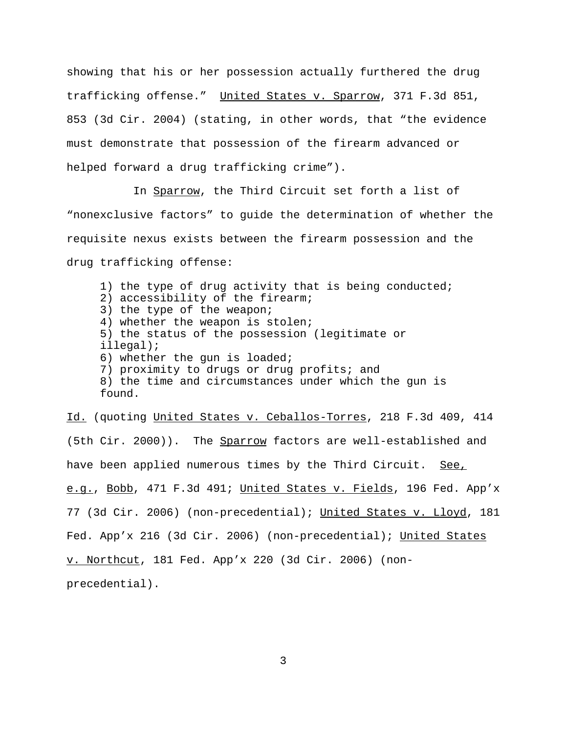showing that his or her possession actually furthered the drug trafficking offense." United States v. Sparrow, 371 F.3d 851, 853 (3d Cir. 2004) (stating, in other words, that "the evidence must demonstrate that possession of the firearm advanced or helped forward a drug trafficking crime").

In Sparrow, the Third Circuit set forth a list of "nonexclusive factors" to guide the determination of whether the requisite nexus exists between the firearm possession and the drug trafficking offense:

1) the type of drug activity that is being conducted; 2) accessibility of the firearm; 3) the type of the weapon; 4) whether the weapon is stolen; 5) the status of the possession (legitimate or illegal); 6) whether the gun is loaded; 7) proximity to drugs or drug profits; and 8) the time and circumstances under which the gun is found.

Id. (quoting United States v. Ceballos-Torres, 218 F.3d 409, 414 (5th Cir. 2000)). The Sparrow factors are well-established and have been applied numerous times by the Third Circuit. See, e.g., Bobb, 471 F.3d 491; United States v. Fields, 196 Fed. App'x 77 (3d Cir. 2006) (non-precedential); United States v. Lloyd, 181 Fed. App'x 216 (3d Cir. 2006) (non-precedential); United States v. Northcut, 181 Fed. App'x 220 (3d Cir. 2006) (nonprecedential).

3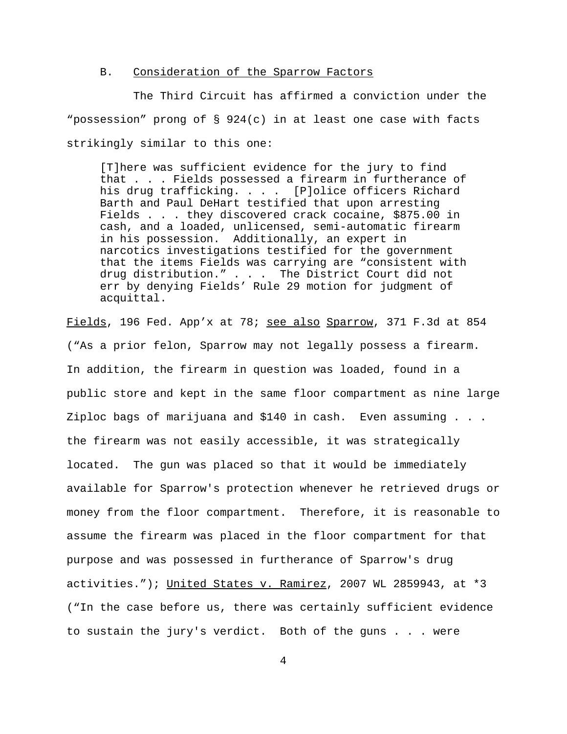# B. Consideration of the Sparrow Factors

The Third Circuit has affirmed a conviction under the "possession" prong of § 924(c) in at least one case with facts strikingly similar to this one:

[T]here was sufficient evidence for the jury to find that . . . Fields possessed a firearm in furtherance of his drug trafficking. . . . [P]olice officers Richard Barth and Paul DeHart testified that upon arresting Fields . . . they discovered crack cocaine, \$875.00 in cash, and a loaded, unlicensed, semi-automatic firearm in his possession. Additionally, an expert in narcotics investigations testified for the government that the items Fields was carrying are "consistent with drug distribution." . . . The District Court did not err by denying Fields' Rule 29 motion for judgment of acquittal.

Fields, 196 Fed. App'x at 78; see also Sparrow, 371 F.3d at 854 ("As a prior felon, Sparrow may not legally possess a firearm. In addition, the firearm in question was loaded, found in a public store and kept in the same floor compartment as nine large Ziploc bags of marijuana and \$140 in cash. Even assuming . . . the firearm was not easily accessible, it was strategically located. The gun was placed so that it would be immediately available for Sparrow's protection whenever he retrieved drugs or money from the floor compartment. Therefore, it is reasonable to assume the firearm was placed in the floor compartment for that purpose and was possessed in furtherance of Sparrow's drug activities."); United States v. Ramirez, 2007 WL 2859943, at \*3 ("In the case before us, there was certainly sufficient evidence to sustain the jury's verdict. Both of the guns . . . were

4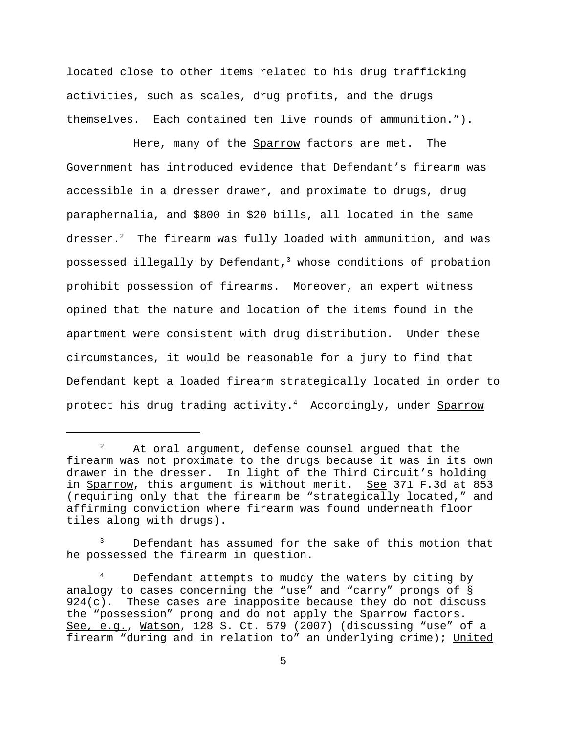located close to other items related to his drug trafficking activities, such as scales, drug profits, and the drugs themselves. Each contained ten live rounds of ammunition.").

Here, many of the Sparrow factors are met. The Government has introduced evidence that Defendant's firearm was accessible in a dresser drawer, and proximate to drugs, drug paraphernalia, and \$800 in \$20 bills, all located in the same dresser. $2$  The firearm was fully loaded with ammunition, and was possessed illegally by Defendant, $3$  whose conditions of probation prohibit possession of firearms. Moreover, an expert witness opined that the nature and location of the items found in the apartment were consistent with drug distribution. Under these circumstances, it would be reasonable for a jury to find that Defendant kept a loaded firearm strategically located in order to protect his drug trading activity.<sup>4</sup> Accordingly, under Sparrow

Defendant has assumed for the sake of this motion that he possessed the firearm in question.

<sup>&</sup>lt;sup>2</sup> At oral argument, defense counsel argued that the firearm was not proximate to the drugs because it was in its own drawer in the dresser. In light of the Third Circuit's holding in Sparrow, this argument is without merit. See 371 F.3d at 853 (requiring only that the firearm be "strategically located," and affirming conviction where firearm was found underneath floor tiles along with drugs).

<sup>&</sup>lt;sup>4</sup> Defendant attempts to muddy the waters by citing by analogy to cases concerning the "use" and "carry" prongs of §  $924(c)$ . These cases are inapposite because they do not discuss the "possession" prong and do not apply the Sparrow factors. See, e.g., Watson, 128 S. Ct. 579 (2007) (discussing "use" of a firearm "during and in relation to" an underlying crime); United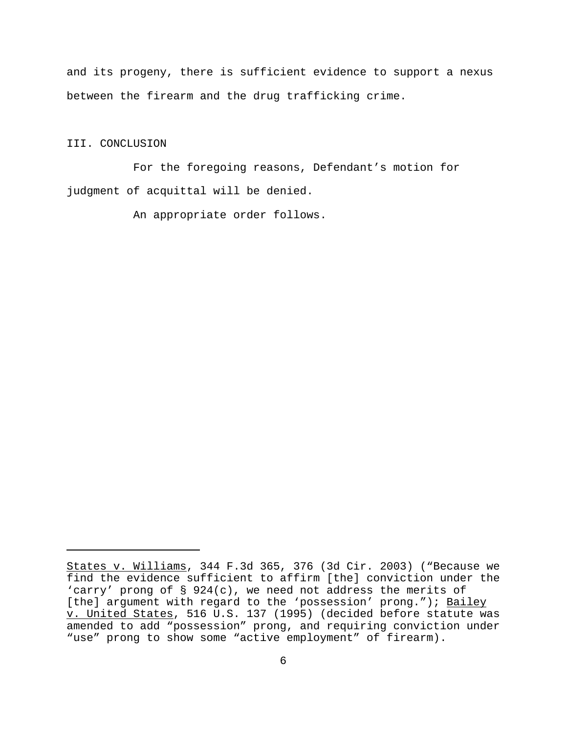and its progeny, there is sufficient evidence to support a nexus between the firearm and the drug trafficking crime.

# III. CONCLUSION

For the foregoing reasons, Defendant's motion for judgment of acquittal will be denied.

An appropriate order follows.

States v. Williams, 344 F.3d 365, 376 (3d Cir. 2003) ("Because we find the evidence sufficient to affirm [the] conviction under the 'carry' prong of § 924(c), we need not address the merits of [the] argument with regard to the 'possession' prong."); Bailey v. United States, 516 U.S. 137 (1995) (decided before statute was amended to add "possession" prong, and requiring conviction under "use" prong to show some "active employment" of firearm).